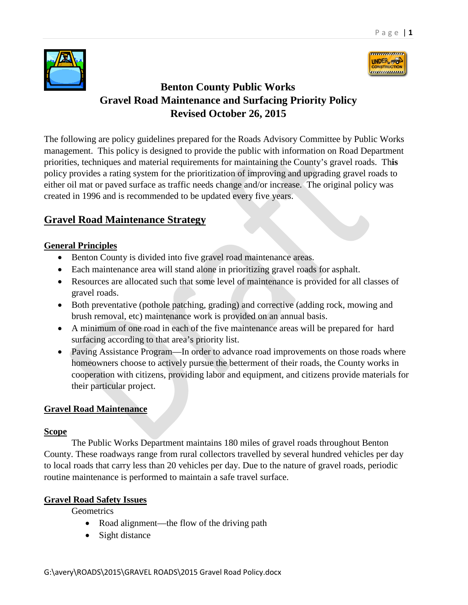



# **Benton County Public Works Gravel Road Maintenance and Surfacing Priority Policy Revised October 26, 2015**

The following are policy guidelines prepared for the Roads Advisory Committee by Public Works management. This policy is designed to provide the public with information on Road Department priorities, techniques and material requirements for maintaining the County's gravel roads. Th**is** policy provides a rating system for the prioritization of improving and upgrading gravel roads to either oil mat or paved surface as traffic needs change and/or increase. The original policy was created in 1996 and is recommended to be updated every five years.

# **Gravel Road Maintenance Strategy**

# **General Principles**

- Benton County is divided into five gravel road maintenance areas.
- Each maintenance area will stand alone in prioritizing gravel roads for asphalt.
- Resources are allocated such that some level of maintenance is provided for all classes of gravel roads.
- Both preventative (pothole patching, grading) and corrective (adding rock, mowing and brush removal, etc) maintenance work is provided on an annual basis.
- A minimum of one road in each of the five maintenance areas will be prepared for hard surfacing according to that area's priority list.
- Paving Assistance Program—In order to advance road improvements on those roads where homeowners choose to actively pursue the betterment of their roads, the County works in cooperation with citizens, providing labor and equipment, and citizens provide materials for their particular project.

# **Gravel Road Maintenance**

# **Scope**

The Public Works Department maintains 180 miles of gravel roads throughout Benton County. These roadways range from rural collectors travelled by several hundred vehicles per day to local roads that carry less than 20 vehicles per day. Due to the nature of gravel roads, periodic routine maintenance is performed to maintain a safe travel surface.

# **Gravel Road Safety Issues**

**Geometrics** 

- Road alignment—the flow of the driving path
- Sight distance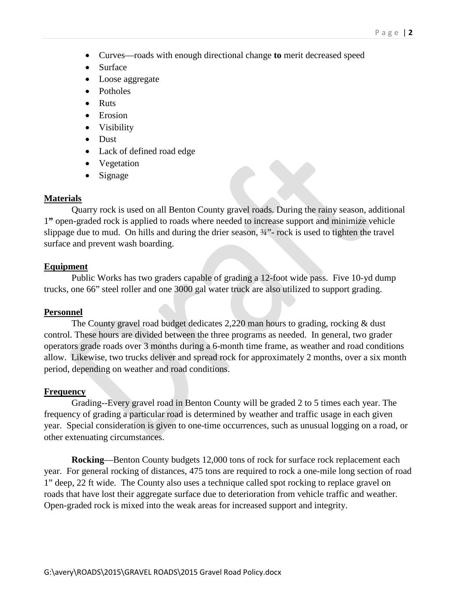- Curves—roads with enough directional change **to** merit decreased speed
- Surface
- Loose aggregate
- Potholes
- Ruts
- Erosion
- Visibility
- Dust
- Lack of defined road edge
- Vegetation
- Signage

#### **Materials**

Quarry rock is used on all Benton County gravel roads. During the rainy season, additional 1**"** open-graded rock is applied to roads where needed to increase support and minimize vehicle slippage due to mud. On hills and during the drier season, ¾"- rock is used to tighten the travel surface and prevent wash boarding.

#### **Equipment**

Public Works has two graders capable of grading a 12-foot wide pass. Five 10-yd dump trucks, one 66" steel roller and one 3000 gal water truck are also utilized to support grading.

#### **Personnel**

The County gravel road budget dedicates 2,220 man hours to grading, rocking & dust control. These hours are divided between the three programs as needed. In general, two grader operators grade roads over 3 months during a 6-month time frame, as weather and road conditions allow. Likewise, two trucks deliver and spread rock for approximately 2 months, over a six month period, depending on weather and road conditions.

#### **Frequency**

Grading--Every gravel road in Benton County will be graded 2 to 5 times each year. The frequency of grading a particular road is determined by weather and traffic usage in each given year. Special consideration is given to one-time occurrences, such as unusual logging on a road, or other extenuating circumstances.

**Rocking**—Benton County budgets 12,000 tons of rock for surface rock replacement each year. For general rocking of distances, 475 tons are required to rock a one-mile long section of road 1" deep, 22 ft wide. The County also uses a technique called spot rocking to replace gravel on roads that have lost their aggregate surface due to deterioration from vehicle traffic and weather. Open-graded rock is mixed into the weak areas for increased support and integrity.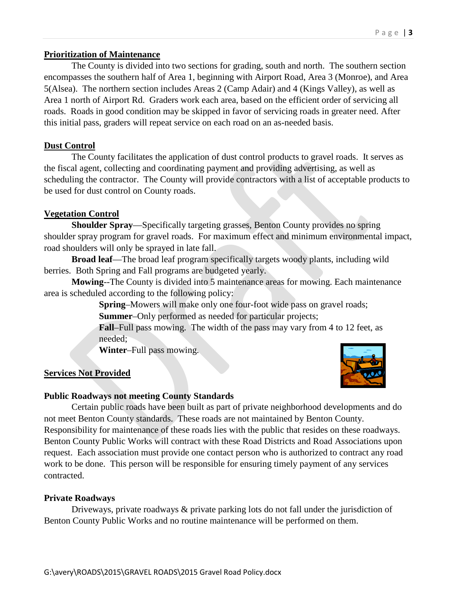### **Prioritization of Maintenance**

The County is divided into two sections for grading, south and north. The southern section encompasses the southern half of Area 1, beginning with Airport Road, Area 3 (Monroe), and Area 5(Alsea). The northern section includes Areas 2 (Camp Adair) and 4 (Kings Valley), as well as Area 1 north of Airport Rd. Graders work each area, based on the efficient order of servicing all roads. Roads in good condition may be skipped in favor of servicing roads in greater need. After this initial pass, graders will repeat service on each road on an as-needed basis.

### **Dust Control**

The County facilitates the application of dust control products to gravel roads. It serves as the fiscal agent, collecting and coordinating payment and providing advertising, as well as scheduling the contractor. The County will provide contractors with a list of acceptable products to be used for dust control on County roads.

# **Vegetation Control**

**Shoulder Spray**—Specifically targeting grasses, Benton County provides no spring shoulder spray program for gravel roads. For maximum effect and minimum environmental impact, road shoulders will only be sprayed in late fall.

**Broad leaf**—The broad leaf program specifically targets woody plants, including wild berries. Both Spring and Fall programs are budgeted yearly.

**Mowing**--The County is divided into 5 maintenance areas for mowing. Each maintenance area is scheduled according to the following policy:

> **Spring**–Mowers will make only one four-foot wide pass on gravel roads; **Summer**–Only performed as needed for particular projects;

**Fall**–Full pass mowing. The width of the pass may vary from 4 to 12 feet, as needed;

**Winter**–Full pass mowing.

# **Services Not Provided**



#### **Public Roadways not meeting County Standards**

Certain public roads have been built as part of private neighborhood developments and do not meet Benton County standards. These roads are not maintained by Benton County. Responsibility for maintenance of these roads lies with the public that resides on these roadways. Benton County Public Works will contract with these Road Districts and Road Associations upon request. Each association must provide one contact person who is authorized to contract any road work to be done. This person will be responsible for ensuring timely payment of any services contracted.

#### **Private Roadways**

Driveways, private roadways & private parking lots do not fall under the jurisdiction of Benton County Public Works and no routine maintenance will be performed on them.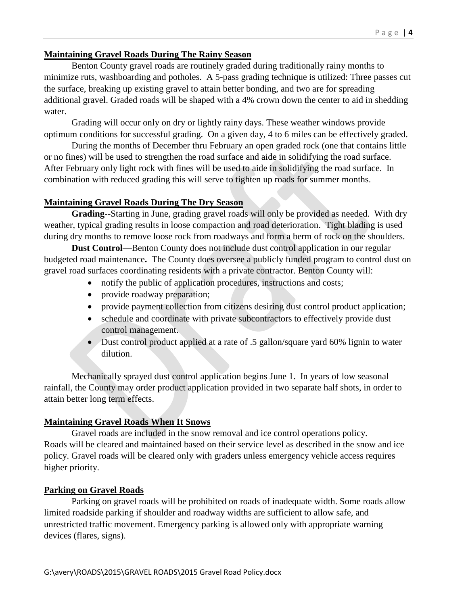#### **Maintaining Gravel Roads During The Rainy Season**

Benton County gravel roads are routinely graded during traditionally rainy months to minimize ruts, washboarding and potholes. A 5-pass grading technique is utilized: Three passes cut the surface, breaking up existing gravel to attain better bonding, and two are for spreading additional gravel. Graded roads will be shaped with a 4% crown down the center to aid in shedding water.

Grading will occur only on dry or lightly rainy days. These weather windows provide optimum conditions for successful grading. On a given day, 4 to 6 miles can be effectively graded.

During the months of December thru February an open graded rock (one that contains little or no fines) will be used to strengthen the road surface and aide in solidifying the road surface. After February only light rock with fines will be used to aide in solidifying the road surface. In combination with reduced grading this will serve to tighten up roads for summer months.

# **Maintaining Gravel Roads During The Dry Season**

**Grading**--Starting in June, grading gravel roads will only be provided as needed. With dry weather, typical grading results in loose compaction and road deterioration. Tight blading is used during dry months to remove loose rock from roadways and form a berm of rock on the shoulders.

**Dust Control**—Benton County does not include dust control application in our regular budgeted road maintenance**.** The County does oversee a publicly funded program to control dust on gravel road surfaces coordinating residents with a private contractor. Benton County will:

- notify the public of application procedures, instructions and costs;
- provide roadway preparation;
- provide payment collection from citizens desiring dust control product application;
- schedule and coordinate with private subcontractors to effectively provide dust control management.
- Dust control product applied at a rate of .5 gallon/square yard 60% lignin to water dilution.

Mechanically sprayed dust control application begins June 1. In years of low seasonal rainfall, the County may order product application provided in two separate half shots, in order to attain better long term effects.

#### **Maintaining Gravel Roads When It Snows**

Gravel roads are included in the snow removal and ice control operations policy. Roads will be cleared and maintained based on their service level as described in the snow and ice policy. Gravel roads will be cleared only with graders unless emergency vehicle access requires higher priority.

#### **Parking on Gravel Roads**

Parking on gravel roads will be prohibited on roads of inadequate width. Some roads allow limited roadside parking if shoulder and roadway widths are sufficient to allow safe, and unrestricted traffic movement. Emergency parking is allowed only with appropriate warning devices (flares, signs).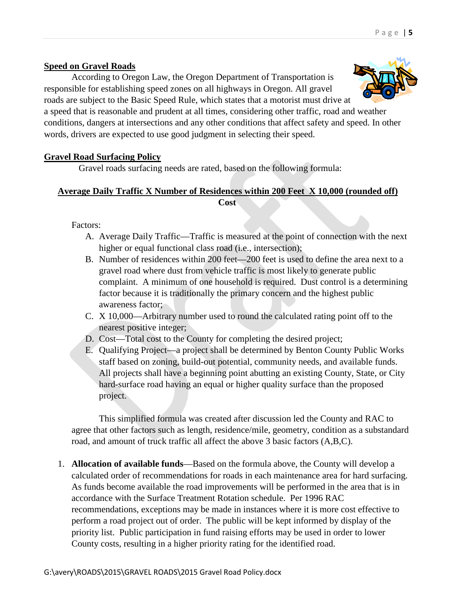# **Speed on Gravel Roads**

According to Oregon Law, the Oregon Department of Transportation is responsible for establishing speed zones on all highways in Oregon. All gravel roads are subject to the Basic Speed Rule, which states that a motorist must drive at

a speed that is reasonable and prudent at all times, considering other traffic, road and weather conditions, dangers at intersections and any other conditions that affect safety and speed. In other words, drivers are expected to use good judgment in selecting their speed.

# **Gravel Road Surfacing Policy**

Gravel roads surfacing needs are rated, based on the following formula:

# **Average Daily Traffic X Number of Residences within 200 Feet X 10,000 (rounded off) Cost**

Factors:

- A. Average Daily Traffic—Traffic is measured at the point of connection with the next higher or equal functional class road (i.e., intersection);
- B. Number of residences within 200 feet—200 feet is used to define the area next to a gravel road where dust from vehicle traffic is most likely to generate public complaint. A minimum of one household is required. Dust control is a determining factor because it is traditionally the primary concern and the highest public awareness factor;
- C. X 10,000—Arbitrary number used to round the calculated rating point off to the nearest positive integer;
- D. Cost—Total cost to the County for completing the desired project;
- E. Qualifying Project—a project shall be determined by Benton County Public Works staff based on zoning, build-out potential, community needs, and available funds. All projects shall have a beginning point abutting an existing County, State, or City hard-surface road having an equal or higher quality surface than the proposed project.

This simplified formula was created after discussion led the County and RAC to agree that other factors such as length, residence/mile, geometry, condition as a substandard road, and amount of truck traffic all affect the above 3 basic factors (A,B,C).

1. **Allocation of available funds**—Based on the formula above, the County will develop a calculated order of recommendations for roads in each maintenance area for hard surfacing. As funds become available the road improvements will be performed in the area that is in accordance with the Surface Treatment Rotation schedule. Per 1996 RAC recommendations, exceptions may be made in instances where it is more cost effective to perform a road project out of order. The public will be kept informed by display of the priority list. Public participation in fund raising efforts may be used in order to lower County costs, resulting in a higher priority rating for the identified road.

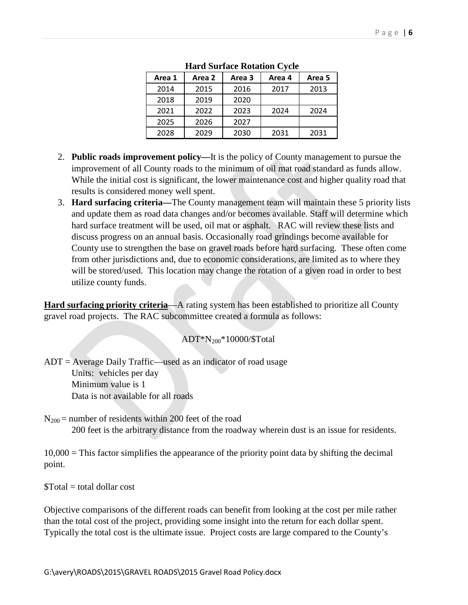| Area 2 | Area 3 | Area 4 | Area 5 |  |
|--------|--------|--------|--------|--|
| 2015   | 2016   | 2017   | 2013   |  |
| 2019   | 2020   |        |        |  |
| 2022   | 2023   | 2024   | 2024   |  |
| 2026   | 2027   |        |        |  |
| 2029   | 2030   | 2031   | 2031   |  |
|        |        |        |        |  |

**Hard Surface Rotation Cycle**

- 2. **Public roads improvement policy—**It is the policy of County management to pursue the improvement of all County roads to the minimum of oil mat road standard as funds allow. While the initial cost is significant, the lower maintenance cost and higher quality road that results is considered money well spent.
- 3. **Hard surfacing criteria—**The County management team will maintain these 5 priority lists and update them as road data changes and/or becomes available. Staff will determine which hard surface treatment will be used, oil mat or asphalt. RAC will review these lists and discuss progress on an annual basis. Occasionally road grindings become available for County use to strengthen the base on gravel roads before hard surfacing. These often come from other jurisdictions and, due to economic considerations, are limited as to where they will be stored/used. This location may change the rotation of a given road in order to best utilize county funds.

**Hard surfacing priority criteria—A** rating system has been established to prioritize all County gravel road projects. The RAC subcommittee created a formula as follows:

# ADT\*N200\*10000/\$Total

 $ADT = Average Daily Traffic—used as an indicator of road usage$ Units: vehicles per day Minimum value is 1 Data is not available for all roads

 $N_{200}$  = number of residents within 200 feet of the road 200 feet is the arbitrary distance from the roadway wherein dust is an issue for residents.

 $10,000$  = This factor simplifies the appearance of the priority point data by shifting the decimal point.

 $$Total = total dollar cost$ 

Objective comparisons of the different roads can benefit from looking at the cost per mile rather than the total cost of the project, providing some insight into the return for each dollar spent. Typically the total cost is the ultimate issue. Project costs are large compared to the County's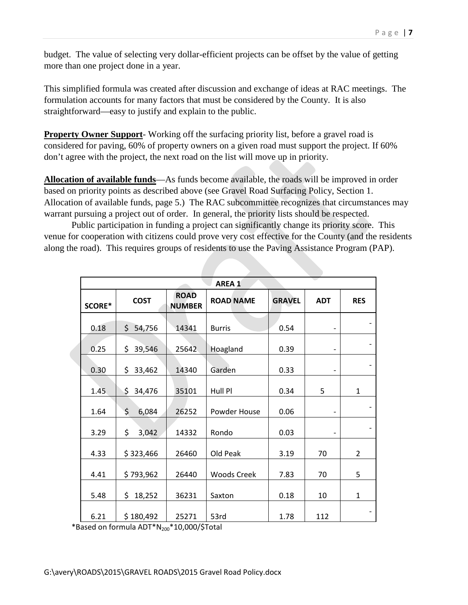budget. The value of selecting very dollar-efficient projects can be offset by the value of getting more than one project done in a year.

This simplified formula was created after discussion and exchange of ideas at RAC meetings. The formulation accounts for many factors that must be considered by the County. It is also straightforward—easy to justify and explain to the public.

**Property Owner Support**- Working off the surfacing priority list, before a gravel road is considered for paving, 60% of property owners on a given road must support the project. If 60% don't agree with the project, the next road on the list will move up in priority.

**Allocation of available funds**—As funds become available, the roads will be improved in order based on priority points as described above (see Gravel Road Surfacing Policy, Section 1. Allocation of available funds, page 5.) The RAC subcommittee recognizes that circumstances may warrant pursuing a project out of order. In general, the priority lists should be respected.

Public participation in funding a project can significantly change its priority score. This venue for cooperation with citizens could prove very cost effective for the County (and the residents along the road). This requires groups of residents to use the Paving Assistance Program (PAP).

|        | AREA <sub>1</sub> |                              |                    |               |                          |                |  |  |  |
|--------|-------------------|------------------------------|--------------------|---------------|--------------------------|----------------|--|--|--|
| SCORE* | <b>COST</b>       | <b>ROAD</b><br><b>NUMBER</b> | <b>ROAD NAME</b>   | <b>GRAVEL</b> | <b>ADT</b>               | <b>RES</b>     |  |  |  |
| 0.18   | 54,756<br>\$      | 14341                        | <b>Burris</b>      | 0.54          | $\qquad \qquad -$        |                |  |  |  |
| 0.25   | \$<br>39,546      | 25642                        | Hoagland           | 0.39          | $\qquad \qquad -$        |                |  |  |  |
| 0.30   | \$<br>33,462      | 14340                        | Garden             | 0.33          | $\qquad \qquad -$        |                |  |  |  |
| 1.45   | \$<br>34,476      | 35101                        | Hull Pl            | 0.34          | 5                        | $\mathbf{1}$   |  |  |  |
| 1.64   | \$<br>6,084       | 26252                        | Powder House       | 0.06          | $\qquad \qquad -$        |                |  |  |  |
| 3.29   | \$<br>3,042       | 14332                        | Rondo              | 0.03          | $\overline{\phantom{a}}$ |                |  |  |  |
| 4.33   | \$323,466         | 26460                        | Old Peak           | 3.19          | 70                       | $\overline{2}$ |  |  |  |
| 4.41   | \$793,962         | 26440                        | <b>Woods Creek</b> | 7.83          | 70                       | 5              |  |  |  |
| 5.48   | \$<br>18,252      | 36231                        | Saxton             | 0.18          | 10                       | 1              |  |  |  |
| 6.21   | \$180,492         | 25271                        | 53rd               | 1.78          | 112                      |                |  |  |  |

\*Based on formula  $ADT^*N_{200}^*10,000/\text{$Total}$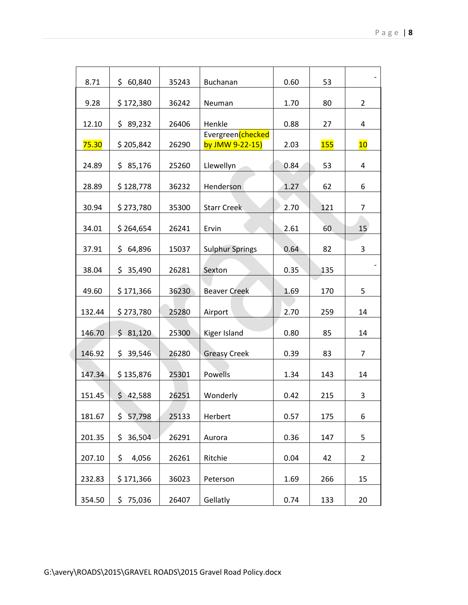| 8.71   | \$.<br>60,840 | 35243 | Buchanan                              | 0.60 | 53  |                |
|--------|---------------|-------|---------------------------------------|------|-----|----------------|
| 9.28   | \$172,380     | 36242 | Neuman                                | 1.70 | 80  | $\overline{2}$ |
| 12.10  | \$89,232      | 26406 | Henkle                                | 0.88 | 27  | $\overline{4}$ |
| 75.30  | \$205,842     | 26290 | Evergreen (checked<br>by JMW 9-22-15) | 2.03 | 155 | 10             |
| 24.89  | \$85,176      | 25260 | Llewellyn                             | 0.84 | 53  | 4              |
| 28.89  | \$128,778     | 36232 | Henderson                             | 1.27 | 62  | 6              |
| 30.94  | \$273,780     | 35300 | <b>Starr Creek</b>                    | 2.70 | 121 | 7              |
| 34.01  | \$264,654     | 26241 | Ervin                                 | 2.61 | 60  | 15             |
| 37.91  | \$64,896      | 15037 | <b>Sulphur Springs</b>                | 0.64 | 82  | 3              |
| 38.04  | \$35,490      | 26281 | Sexton                                | 0.35 | 135 |                |
| 49.60  | \$171,366     | 36230 | <b>Beaver Creek</b>                   | 1.69 | 170 | 5              |
| 132.44 | \$273,780     | 25280 | Airport                               | 2.70 | 259 | 14             |
| 146.70 | \$31,120      | 25300 | Kiger Island                          | 0.80 | 85  | 14             |
| 146.92 | \$.<br>39,546 | 26280 | <b>Greasy Creek</b>                   | 0.39 | 83  | $\overline{7}$ |
| 147.34 | \$135,876     | 25301 | Powells                               | 1.34 | 143 | 14             |
| 151.45 | \$<br>42,588  | 26251 | Wonderly                              | 0.42 | 215 | 3              |
| 181.67 | \$<br>57,798  | 25133 | Herbert                               | 0.57 | 175 | 6              |
| 201.35 | \$36,504      | 26291 | Aurora                                | 0.36 | 147 | 5              |
| 207.10 | \$<br>4,056   | 26261 | Ritchie                               | 0.04 | 42  | $\overline{2}$ |
| 232.83 | \$171,366     | 36023 | Peterson                              | 1.69 | 266 | 15             |
| 354.50 | 75,036<br>\$. | 26407 | Gellatly                              | 0.74 | 133 | 20             |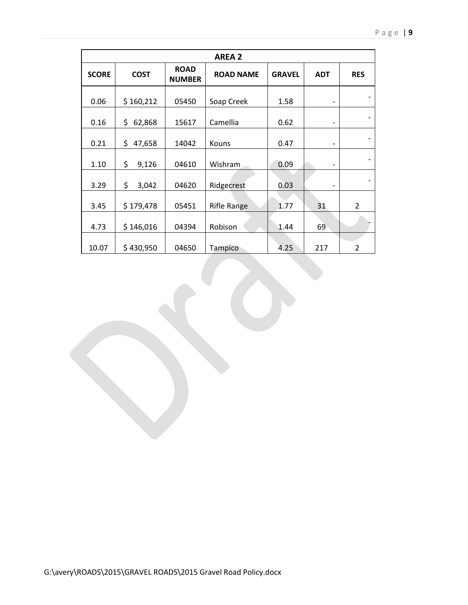| <b>AREA 2</b> |              |                              |                    |               |            |                |  |
|---------------|--------------|------------------------------|--------------------|---------------|------------|----------------|--|
| <b>SCORE</b>  | <b>COST</b>  | <b>ROAD</b><br><b>NUMBER</b> | <b>ROAD NAME</b>   | <b>GRAVEL</b> | <b>ADT</b> | <b>RES</b>     |  |
| 0.06          | \$160,212    | 05450                        | Soap Creek         | 1.58          |            |                |  |
| 0.16          | \$<br>62,868 | 15617                        | Camellia           | 0.62          |            |                |  |
| 0.21          | \$<br>47,658 | 14042                        | Kouns              | 0.47          |            |                |  |
| 1.10          | \$<br>9,126  | 04610                        | Wishram            | 0.09          |            |                |  |
| 3.29          | \$<br>3,042  | 04620                        | Ridgecrest         | 0.03          |            |                |  |
| 3.45          | \$179,478    | 05451                        | <b>Rifle Range</b> | 1.77          | 31         | $\overline{2}$ |  |
| 4.73          | \$146,016    | 04394                        | Robison            | 1.44          | 69         |                |  |
| 10.07         | \$430,950    | 04650                        | <b>Tampico</b>     | 4.25          | 217        | $\overline{2}$ |  |
|               |              |                              |                    |               |            |                |  |
|               |              |                              |                    |               |            |                |  |
|               |              |                              |                    |               |            |                |  |
|               |              |                              |                    |               |            |                |  |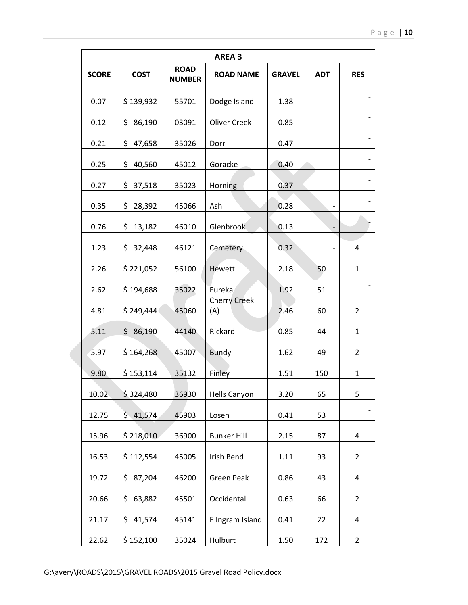|              | <b>AREA 3</b> |                              |                            |               |            |                |  |  |
|--------------|---------------|------------------------------|----------------------------|---------------|------------|----------------|--|--|
| <b>SCORE</b> | <b>COST</b>   | <b>ROAD</b><br><b>NUMBER</b> | <b>ROAD NAME</b>           | <b>GRAVEL</b> | <b>ADT</b> | <b>RES</b>     |  |  |
| 0.07         | \$139,932     | 55701                        | Dodge Island               | 1.38          |            |                |  |  |
| 0.12         | \$86,190      | 03091                        | <b>Oliver Creek</b>        | 0.85          |            |                |  |  |
| 0.21         | \$47,658      | 35026                        | Dorr                       | 0.47          |            |                |  |  |
| 0.25         | \$<br>40,560  | 45012                        | Goracke                    | 0.40          |            |                |  |  |
| 0.27         | \$37,518      | 35023                        | Horning                    | 0.37          |            |                |  |  |
| 0.35         | \$<br>28,392  | 45066                        | Ash                        | 0.28          |            |                |  |  |
| 0.76         | \$<br>13,182  | 46010                        | Glenbrook                  | 0.13          |            |                |  |  |
| 1.23         | \$<br>32,448  | 46121                        | Cemetery                   | 0.32          |            | 4              |  |  |
| 2.26         | \$221,052     | 56100                        | <b>Hewett</b>              | 2.18          | 50         | 1              |  |  |
| 2.62         | \$194,688     | 35022                        | Eureka                     | 1.92          | 51         |                |  |  |
| 4.81         | \$249,444     | 45060                        | <b>Cherry Creek</b><br>(A) | 2.46          | 60         | $\overline{2}$ |  |  |
| 5.11         | \$86,190      | 44140                        | Rickard                    | 0.85          | 44         | 1              |  |  |
| 5.97         | \$164,268     | 45007                        | <b>Bundy</b>               | 1.62          | 49         | 2              |  |  |
| 9.80         | \$153,114     | 35132                        | Finley                     | 1.51          | 150        | 1              |  |  |
| 10.02        | \$324,480     | 36930                        | Hells Canyon               | 3.20          | 65         | 5              |  |  |
| 12.75        | \$41,574      | 45903                        | Losen                      | 0.41          | 53         |                |  |  |
| 15.96        | \$218,010     | 36900                        | <b>Bunker Hill</b>         | 2.15          | 87         | 4              |  |  |
| 16.53        | \$112,554     | 45005                        | Irish Bend                 | 1.11          | 93         | $\overline{2}$ |  |  |
| 19.72        | \$87,204      | 46200                        | <b>Green Peak</b>          | 0.86          | 43         | 4              |  |  |
| 20.66        | \$<br>63,882  | 45501                        | Occidental                 | 0.63          | 66         | $\overline{2}$ |  |  |
| 21.17        | \$41,574      | 45141                        | E Ingram Island            | 0.41          | 22         | $\overline{4}$ |  |  |
| 22.62        | \$152,100     | 35024                        | Hulburt                    | 1.50          | 172        | $\overline{2}$ |  |  |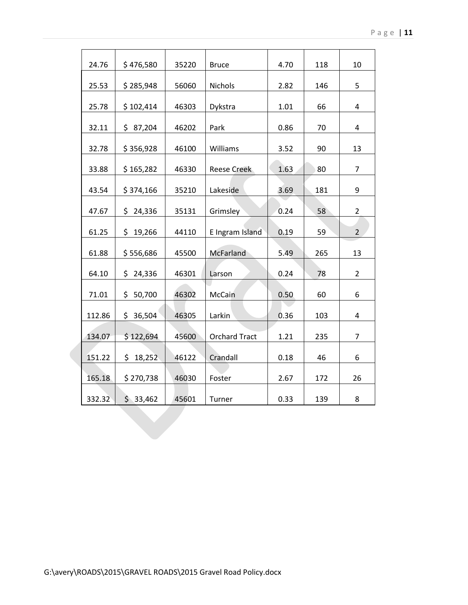| 24.76  | \$476,580     | 35220 | <b>Bruce</b>         | 4.70 | 118 | 10             |
|--------|---------------|-------|----------------------|------|-----|----------------|
| 25.53  | \$285,948     | 56060 | <b>Nichols</b>       | 2.82 | 146 | 5              |
| 25.78  | \$102,414     | 46303 | Dykstra              | 1.01 | 66  | 4              |
| 32.11  | \$87,204      | 46202 | Park                 | 0.86 | 70  | 4              |
| 32.78  | \$356,928     | 46100 | Williams             | 3.52 | 90  | 13             |
| 33.88  | \$165,282     | 46330 | <b>Reese Creek</b>   | 1.63 | 80  | 7              |
| 43.54  | \$374,166     | 35210 | Lakeside             | 3.69 | 181 | 9              |
| 47.67  | \$24,336      | 35131 | Grimsley             | 0.24 | 58  | $\overline{2}$ |
| 61.25  | \$19,266      | 44110 | E Ingram Island      | 0.19 | 59  | $\overline{2}$ |
| 61.88  | \$556,686     | 45500 | McFarland            | 5.49 | 265 | 13             |
| 64.10  | 24,336<br>\$. | 46301 | Larson               | 0.24 | 78  | $\overline{2}$ |
| 71.01  | \$.<br>50,700 | 46302 | McCain               | 0.50 | 60  | 6              |
| 112.86 | \$36,504      | 46305 | Larkin               | 0.36 | 103 | 4              |
| 134.07 | \$122,694     | 45600 | <b>Orchard Tract</b> | 1.21 | 235 | 7              |
| 151.22 | \$18,252      | 46122 | Crandall             | 0.18 | 46  | 6              |
| 165.18 | \$270,738     | 46030 | Foster               | 2.67 | 172 | 26             |
| 332.32 | \$33,462      | 45601 | Turner               | 0.33 | 139 | 8              |
|        |               |       |                      |      |     |                |
|        |               |       |                      |      |     |                |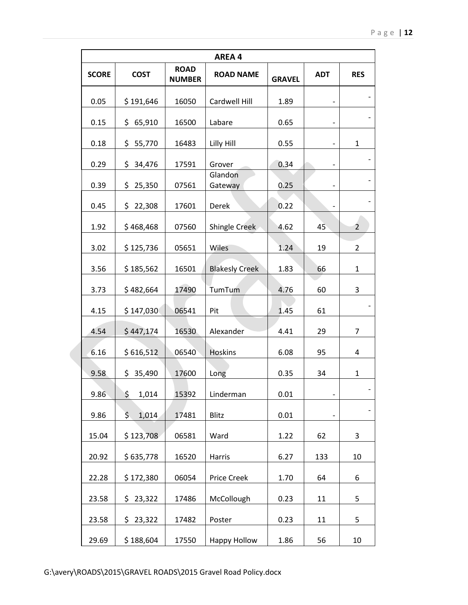|              |               |                              | <b>AREA 4</b>         |               |            |                |  |  |  |  |
|--------------|---------------|------------------------------|-----------------------|---------------|------------|----------------|--|--|--|--|
| <b>SCORE</b> | <b>COST</b>   | <b>ROAD</b><br><b>NUMBER</b> | <b>ROAD NAME</b>      | <b>GRAVEL</b> | <b>ADT</b> | <b>RES</b>     |  |  |  |  |
| 0.05         | \$191,646     | 16050                        | Cardwell Hill         | 1.89          |            |                |  |  |  |  |
| 0.15         | \$65,910      | 16500                        | Labare                | 0.65          |            |                |  |  |  |  |
| 0.18         | \$55,770      | 16483                        | Lilly Hill            | 0.55          |            | $\mathbf{1}$   |  |  |  |  |
| 0.29         | \$.<br>34,476 | 17591                        | Grover                | 0.34          |            |                |  |  |  |  |
| 0.39         | 25,350<br>\$. | 07561                        | Glandon<br>Gateway    | 0.25          |            |                |  |  |  |  |
| 0.45         | \$<br>22,308  | 17601                        | Derek                 | 0.22          |            |                |  |  |  |  |
| 1.92         | \$468,468     | 07560                        | Shingle Creek         | 4.62          | 45         | 2              |  |  |  |  |
| 3.02         | \$125,736     | 05651                        | Wiles                 | 1.24          | 19         | $\overline{2}$ |  |  |  |  |
| 3.56         | \$185,562     | 16501                        | <b>Blakesly Creek</b> | 1.83          | 66         | $\mathbf{1}$   |  |  |  |  |
| 3.73         | \$482,664     | 17490                        | TumTum                | 4.76          | 60         | 3              |  |  |  |  |
| 4.15         | \$147,030     | 06541                        | Pit                   | 1.45          | 61         |                |  |  |  |  |
| 4.54         | \$447,174     | 16530                        | Alexander             | 4.41          | 29         | 7              |  |  |  |  |
| 6.16         | \$616,512     | 06540                        | <b>Hoskins</b>        | 6.08          | 95         | 4              |  |  |  |  |
| 9.58         | \$35,490      | 17600                        | Long                  | 0.35          | 34         | $\mathbf{1}$   |  |  |  |  |
| 9.86         | \$<br>1,014   | 15392                        | Linderman             | 0.01          |            |                |  |  |  |  |
| 9.86         | \$.<br>1,014  | 17481                        | Blitz                 | 0.01          |            |                |  |  |  |  |
| 15.04        | \$123,708     | 06581                        | Ward                  | 1.22          | 62         | 3              |  |  |  |  |
| 20.92        | \$635,778     | 16520                        | Harris                | 6.27          | 133        | 10             |  |  |  |  |
| 22.28        | \$172,380     | 06054                        | Price Creek           | 1.70          | 64         | 6              |  |  |  |  |
| 23.58        | \$<br>23,322  | 17486                        | McCollough            | 0.23          | 11         | 5              |  |  |  |  |
| 23.58        | \$23,322      | 17482                        | Poster                | 0.23          | 11         | 5              |  |  |  |  |
| 29.69        | \$188,604     | 17550                        | <b>Happy Hollow</b>   | 1.86          | 56         | 10             |  |  |  |  |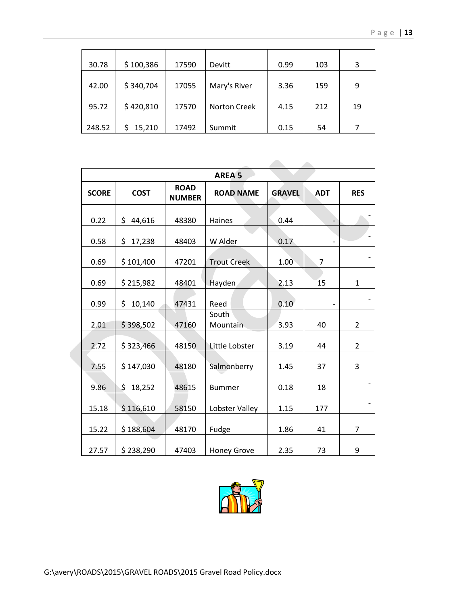| 30.78  | \$100,386 | 17590 | Devitt              | 0.99 | 103 | 3  |
|--------|-----------|-------|---------------------|------|-----|----|
|        |           |       |                     |      |     |    |
| 42.00  | \$340,704 | 17055 | Mary's River        | 3.36 | 159 | 9  |
|        |           |       |                     |      |     |    |
| 95.72  | \$420,810 | 17570 | <b>Norton Creek</b> | 4.15 | 212 | 19 |
|        |           |       |                     |      |     |    |
| 248.52 | 15,210    | 17492 | Summit              | 0.15 | 54  |    |

|              | <b>AREA 5</b> |                              |                    |               |                          |                |  |  |  |
|--------------|---------------|------------------------------|--------------------|---------------|--------------------------|----------------|--|--|--|
| <b>SCORE</b> | <b>COST</b>   | <b>ROAD</b><br><b>NUMBER</b> | <b>ROAD NAME</b>   | <b>GRAVEL</b> | <b>ADT</b>               | <b>RES</b>     |  |  |  |
| 0.22         | \$<br>44,616  | 48380                        | Haines             | 0.44          | $\overline{\phantom{a}}$ |                |  |  |  |
| 0.58         | \$<br>17,238  | 48403                        | W Alder            | 0.17          |                          |                |  |  |  |
| 0.69         | \$101,400     | 47201                        | <b>Trout Creek</b> | 1.00          | $\overline{7}$           |                |  |  |  |
| 0.69         | \$215,982     | 48401                        | Hayden             | 2.13          | 15                       | $\mathbf{1}$   |  |  |  |
| 0.99         | \$<br>10,140  | 47431                        | Reed               | 0.10          |                          |                |  |  |  |
| 2.01         | \$398,502     | 47160                        | South<br>Mountain  | 3.93          | 40                       | $\overline{2}$ |  |  |  |
| 2.72         | \$323,466     | 48150                        | Little Lobster     | 3.19          | 44                       | $\overline{2}$ |  |  |  |
| 7.55         | \$147,030     | 48180                        | Salmonberry        | 1.45          | 37                       | 3              |  |  |  |
| 9.86         | \$<br>18,252  | 48615                        | <b>Bummer</b>      | 0.18          | 18                       |                |  |  |  |
| 15.18        | \$116,610     | 58150                        | Lobster Valley     | 1.15          | 177                      |                |  |  |  |
| 15.22        | \$188,604     | 48170                        | Fudge              | 1.86          | 41                       | $\overline{7}$ |  |  |  |
| 27.57        | \$238,290     | 47403                        | <b>Honey Grove</b> | 2.35          | 73                       | 9              |  |  |  |

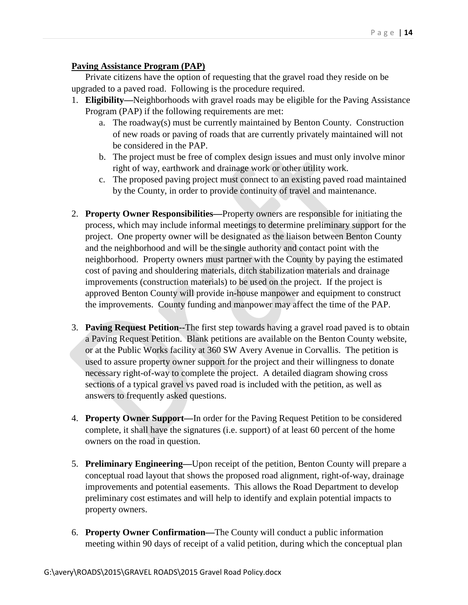#### **Paving Assistance Program (PAP)**

Private citizens have the option of requesting that the gravel road they reside on be upgraded to a paved road. Following is the procedure required.

- 1. **Eligibility—**Neighborhoods with gravel roads may be eligible for the Paving Assistance Program (PAP) if the following requirements are met:
	- a. The roadway(s) must be currently maintained by Benton County. Construction of new roads or paving of roads that are currently privately maintained will not be considered in the PAP.
	- b. The project must be free of complex design issues and must only involve minor right of way, earthwork and drainage work or other utility work.
	- c. The proposed paving project must connect to an existing paved road maintained by the County, in order to provide continuity of travel and maintenance.
- 2. **Property Owner Responsibilities—**Property owners are responsible for initiating the process, which may include informal meetings to determine preliminary support for the project. One property owner will be designated as the liaison between Benton County and the neighborhood and will be the single authority and contact point with the neighborhood. Property owners must partner with the County by paying the estimated cost of paving and shouldering materials, ditch stabilization materials and drainage improvements (construction materials) to be used on the project. If the project is approved Benton County will provide in-house manpower and equipment to construct the improvements. County funding and manpower may affect the time of the PAP.
- 3. **Paving Request Petition--**The first step towards having a gravel road paved is to obtain a Paving Request Petition. Blank petitions are available on the Benton County website, or at the Public Works facility at 360 SW Avery Avenue in Corvallis. The petition is used to assure property owner support for the project and their willingness to donate necessary right-of-way to complete the project. A detailed diagram showing cross sections of a typical gravel vs paved road is included with the petition, as well as answers to frequently asked questions.
- 4. **Property Owner Support—**In order for the Paving Request Petition to be considered complete, it shall have the signatures (i.e. support) of at least 60 percent of the home owners on the road in question.
- 5. **Preliminary Engineering—**Upon receipt of the petition, Benton County will prepare a conceptual road layout that shows the proposed road alignment, right-of-way, drainage improvements and potential easements. This allows the Road Department to develop preliminary cost estimates and will help to identify and explain potential impacts to property owners.
- 6. **Property Owner Confirmation—**The County will conduct a public information meeting within 90 days of receipt of a valid petition, during which the conceptual plan